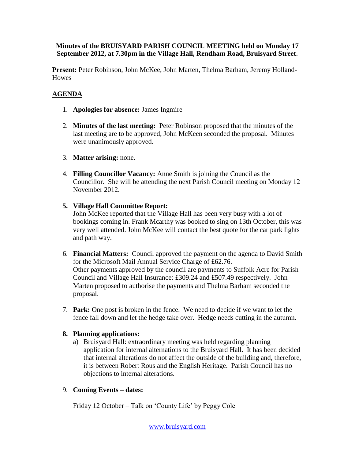### **Minutes of the BRUISYARD PARISH COUNCIL MEETING held on Monday 17 September 2012, at 7.30pm in the Village Hall, Rendham Road, Bruisyard Street**.

**Present:** Peter Robinson, John McKee, John Marten, Thelma Barham, Jeremy Holland-**Howes** 

# **AGENDA**

- 1. **Apologies for absence:** James Ingmire
- 2. **Minutes of the last meeting:** Peter Robinson proposed that the minutes of the last meeting are to be approved, John McKeen seconded the proposal. Minutes were unanimously approved.
- 3. **Matter arising:** none.
- 4. **Filling Councillor Vacancy:** Anne Smith is joining the Council as the Councillor. She will be attending the next Parish Council meeting on Monday 12 November 2012.
- **5. Village Hall Committee Report:**

John McKee reported that the Village Hall has been very busy with a lot of bookings coming in. Frank Mcarthy was booked to sing on 13th October, this was very well attended. John McKee will contact the best quote for the car park lights and path way.

- 6. **Financial Matters:** Council approved the payment on the agenda to David Smith for the Microsoft Mail Annual Service Charge of £62.76. Other payments approved by the council are payments to Suffolk Acre for Parish Council and Village Hall Insurance: £309.24 and £507.49 respectively. John Marten proposed to authorise the payments and Thelma Barham seconded the proposal.
- 7. **Park:** One post is broken in the fence. We need to decide if we want to let the fence fall down and let the hedge take over. Hedge needs cutting in the autumn.

### **8. Planning applications:**

a) Bruisyard Hall: extraordinary meeting was held regarding planning application for internal alternations to the Bruisyard Hall. It has been decided that internal alterations do not affect the outside of the building and, therefore, it is between Robert Rous and the English Heritage. Parish Council has no objections to internal alterations.

### 9. **Coming Events – dates:**

Friday 12 October – Talk on 'County Life' by Peggy Cole